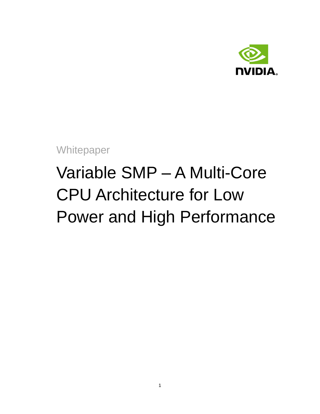

<span id="page-0-0"></span>**Whitepaper** 

# Variable SMP – A Multi-Core CPU Architecture for Low Power and High Performance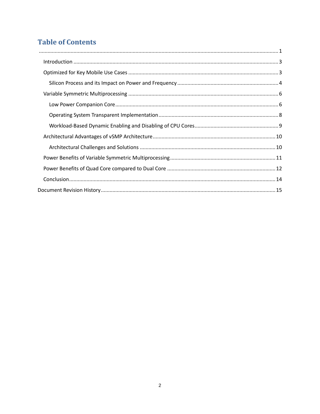# **Table of Contents**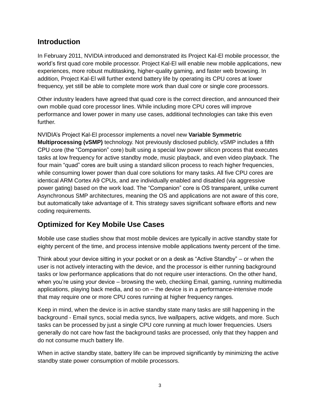### <span id="page-2-0"></span>**Introduction**

In February 2011, NVIDIA introduced and demonstrated its Project Kal-El mobile processor, the world's first quad core mobile processor. Project Kal-El will enable new mobile applications, new experiences, more robust multitasking, higher-quality gaming, and faster web browsing. In addition, Project Kal-El will further extend battery life by operating its CPU cores at lower frequency, yet still be able to complete more work than dual core or single core processors.

Other industry leaders have agreed that quad core is the correct direction, and announced their own mobile quad core processor lines. While including more CPU cores will improve performance and lower power in many use cases, additional technologies can take this even further.

NVIDIA's Project Kal-El processor implements a novel new **Variable Symmetric Multiprocessing (vSMP)** technology. Not previously disclosed publicly, vSMP includes a fifth CPU core (the "Companion" core) built using a special low power silicon process that executes tasks at low frequency for active standby mode, music playback, and even video playback. The four main "quad" cores are built using a standard silicon process to reach higher frequencies, while consuming lower power than dual core solutions for many tasks. All five CPU cores are identical ARM Cortex A9 CPUs, and are individually enabled and disabled (via aggressive power gating) based on the work load. The "Companion" core is OS transparent, unlike current Asynchronous SMP architectures, meaning the OS and applications are not aware of this core, but automatically take advantage of it. This strategy saves significant software efforts and new coding requirements.

# <span id="page-2-1"></span>**Optimized for Key Mobile Use Cases**

Mobile use case studies show that most mobile devices are typically in active standby state for eighty percent of the time, and process intensive mobile applications twenty percent of the time.

Think about your device sitting in your pocket or on a desk as "Active Standby" – or when the user is not actively interacting with the device, and the processor is either running background tasks or low performance applications that do not require user interactions. On the other hand, when you're using your device – browsing the web, checking Email, gaming, running multimedia applications, playing back media, and so on – the device is in a performance-intensive mode that may require one or more CPU cores running at higher frequency ranges.

Keep in mind, when the device is in active standby state many tasks are still happening in the background - Email syncs, social media syncs, live wallpapers, active widgets, and more. Such tasks can be processed by just a single CPU core running at much lower frequencies. Users generally do not care how fast the background tasks are processed, only that they happen and do not consume much battery life.

When in active standby state, battery life can be improved significantly by minimizing the active standby state power consumption of mobile processors.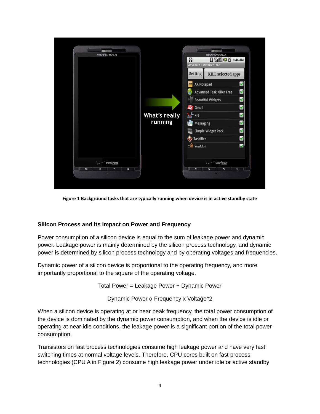

**Figure 1 Background tasks that are typically running when device is in active standby state**

#### <span id="page-3-0"></span>**Silicon Process and its Impact on Power and Frequency**

Power consumption of a silicon device is equal to the sum of leakage power and dynamic power. Leakage power is mainly determined by the silicon process technology, and dynamic power is determined by silicon process technology and by operating voltages and frequencies.

Dynamic power of a silicon device is proportional to the operating frequency, and more importantly proportional to the square of the operating voltage.

Total Power = Leakage Power + Dynamic Power

Dynamic Power α Frequency x Voltage^2

When a silicon device is operating at or near peak frequency, the total power consumption of the device is dominated by the dynamic power consumption, and when the device is idle or operating at near idle conditions, the leakage power is a significant portion of the total power consumption.

Transistors on fast process technologies consume high leakage power and have very fast switching times at normal voltage levels. Therefore, CPU cores built on fast process technologies (CPU A in Figure 2) consume high leakage power under idle or active standby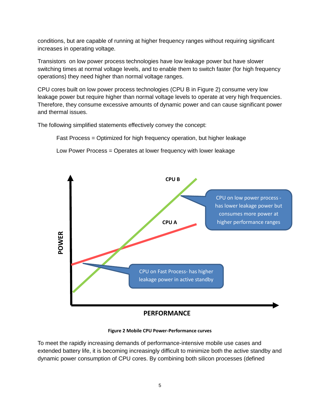conditions, but are capable of running at higher frequency ranges without requiring significant increases in operating voltage.

Transistors on low power process technologies have low leakage power but have slower switching times at normal voltage levels, and to enable them to switch faster (for high frequency operations) they need higher than normal voltage ranges.

CPU cores built on low power process technologies (CPU B in Figure 2) consume very low leakage power but require higher than normal voltage levels to operate at very high frequencies. Therefore, they consume excessive amounts of dynamic power and can cause significant power and thermal issues.

The following simplified statements effectively convey the concept:

Fast Process = Optimized for high frequency operation, but higher leakage

Low Power Process = Operates at lower frequency with lower leakage







To meet the rapidly increasing demands of performance-intensive mobile use cases and extended battery life, it is becoming increasingly difficult to minimize both the active standby and dynamic power consumption of CPU cores. By combining both silicon processes (defined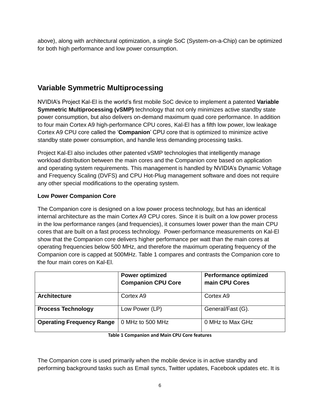above), along with architectural optimization, a single SoC (System-on-a-Chip) can be optimized for both high performance and low power consumption.

# <span id="page-5-0"></span>**Variable Symmetric Multiprocessing**

NVIDIA's Project Kal-El is the world's first mobile SoC device to implement a patented **Variable Symmetric Multiprocessing (vSMP)** technology that not only minimizes active standby state power consumption, but also delivers on-demand maximum quad core performance. In addition to four main Cortex A9 high-performance CPU cores, Kal-El has a fifth low power, low leakage Cortex A9 CPU core called the '**Companion**' CPU core that is optimized to minimize active standby state power consumption, and handle less demanding processing tasks.

Project Kal-El also includes other patented vSMP technologies that intelligently manage workload distribution between the main cores and the Companion core based on application and operating system requirements. This management is handled by NVIDIA's Dynamic Voltage and Frequency Scaling (DVFS) and CPU Hot-Plug management software and does not require any other special modifications to the operating system.

#### <span id="page-5-1"></span>**Low Power Companion Core**

The Companion core is designed on a low power process technology, but has an identical internal architecture as the main Cortex A9 CPU cores. Since it is built on a low power process in the low performance ranges (and frequencies), it consumes lower power than the main CPU cores that are built on a fast process technology. Power-performance measurements on Kal-El show that the Companion core delivers higher performance per watt than the main cores at operating frequencies below 500 MHz, and therefore the maximum operating frequency of the Companion core is capped at 500MHz. Table 1 compares and contrasts the Companion core to the four main cores on Kal-El.

|                                  | <b>Power optimized</b><br><b>Companion CPU Core</b> | <b>Performance optimized</b><br>main CPU Cores |
|----------------------------------|-----------------------------------------------------|------------------------------------------------|
| <b>Architecture</b>              | Cortex A9                                           | Cortex A9                                      |
| <b>Process Technology</b>        | Low Power (LP)                                      | General/Fast (G).                              |
| <b>Operating Frequency Range</b> | 0 MHz to 500 MHz                                    | 0 MHz to Max GHz                               |

**Table 1 Companion and Main CPU Core features**

The Companion core is used primarily when the mobile device is in active standby and performing background tasks such as Email syncs, Twitter updates, Facebook updates etc. It is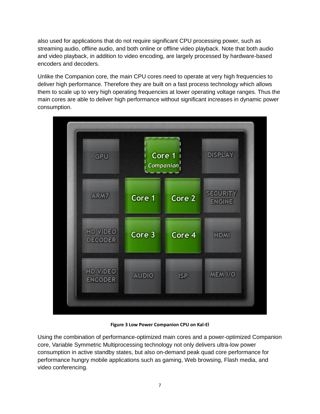also used for applications that do not require significant CPU processing power, such as streaming audio, offline audio, and both online or offline video playback. Note that both audio and video playback, in addition to video encoding, are largely processed by hardware-based encoders and decoders.

Unlike the Companion core, the main CPU cores need to operate at very high frequencies to deliver high performance. Therefore they are built on a fast process technology which allows them to scale up to very high operating frequencies at lower operating voltage ranges. Thus the main cores are able to deliver high performance without significant increases in dynamic power consumption.



**Figure 3 Low Power Companion CPU on Kal-El**

Using the combination of performance-optimized main cores and a power-optimized Companion core, Variable Symmetric Multiprocessing technology not only delivers ultra-low power consumption in active standby states, but also on-demand peak quad core performance for performance hungry mobile applications such as gaming, Web browsing, Flash media, and video conferencing.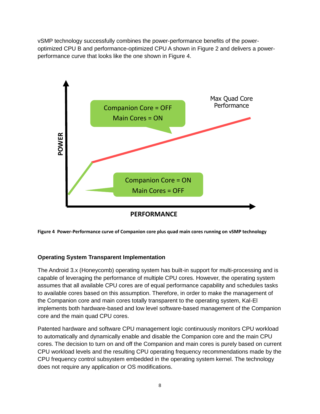vSMP technology successfully combines the power-performance benefits of the poweroptimized CPU B and performance-optimized CPU A shown in Figure 2 and delivers a powerperformance curve that looks like the one shown in Figure 4.



**Figure 4 Power-Performance curve of Companion core plus quad main cores running on vSMP technology**

#### <span id="page-7-0"></span>**Operating System Transparent Implementation**

The Android 3.x (Honeycomb) operating system has built-in support for multi-processing and is capable of leveraging the performance of multiple CPU cores. However, the operating system assumes that all available CPU cores are of equal performance capability and schedules tasks to available cores based on this assumption. Therefore, in order to make the management of the Companion core and main cores totally transparent to the operating system, Kal-El implements both hardware-based and low level software-based management of the Companion core and the main quad CPU cores.

Patented hardware and software CPU management logic continuously monitors CPU workload to automatically and dynamically enable and disable the Companion core and the main CPU cores. The decision to turn on and off the Companion and main cores is purely based on current CPU workload levels and the resulting CPU operating frequency recommendations made by the CPU frequency control subsystem embedded in the operating system kernel. The technology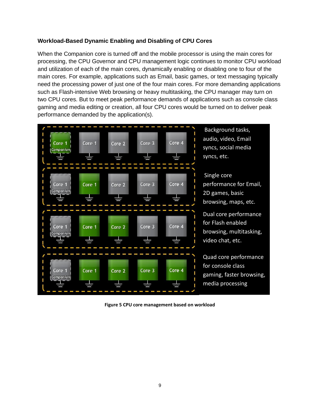#### <span id="page-8-0"></span>**Workload-Based Dynamic Enabling and Disabling of CPU Cores**

When the Companion core is turned off and the mobile processor is using the main cores for processing, the CPU Governor and CPU management logic continues to monitor CPU workload and utilization of each of the main cores, dynamically enabling or disabling one to four of the main cores. For example, applications such as Email, basic games, or text messaging typically need the processing power of just one of the four main cores. For more demanding applications such as Flash-intensive Web browsing or heavy multitasking, the CPU manager may turn on two CPU cores. But to meet peak performance demands of applications such as console class gaming and media editing or creation, all four CPU cores would be turned on to deliver peak performance demanded by the application(s).



**Figure 5 CPU core management based on workload**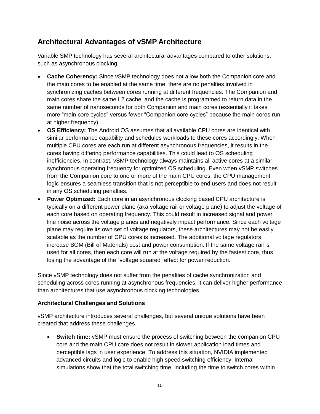## <span id="page-9-0"></span>**Architectural Advantages of vSMP Architecture**

Variable SMP technology has several architectural advantages compared to other solutions, such as asynchronous clocking.

- **Cache Coherency:** Since vSMP technology does not allow both the Companion core and the main cores to be enabled at the same time, there are no penalties involved in synchronizing caches between cores running at different frequencies. The Companion and main cores share the same L2 cache, and the cache is programmed to return data in the same number of nanoseconds for both Companion and main cores (essentially it takes more "main core cycles" versus fewer "Companion core cycles" because the main cores run at higher frequency).
- **OS Efficiency:** The Android OS assumes that all available CPU cores are identical with similar performance capability and schedules workloads to these cores accordingly. When multiple CPU cores are each run at different asynchronous frequencies, it results in the cores having differing performance capabilities. This could lead to OS scheduling inefficiencies. In contrast, vSMP technology always maintains all active cores at a similar synchronous operating frequency for optimized OS scheduling. Even when vSMP switches from the Companion core to one or more of the main CPU cores, the CPU management logic ensures a seamless transition that is not perceptible to end users and does not result in any OS scheduling penalties.
- **Power Optimized:** Each core in an asynchronous clocking based CPU architecture is typically on a different power plane (aka voltage rail or voltage plane) to adjust the voltage of each core based on operating frequency. This could result in increased signal and power line noise across the voltage planes and negatively impact performance. Since each voltage plane may require its own set of voltage regulators, these architectures may not be easily scalable as the number of CPU cores is increased. The additional voltage regulators increase BOM (Bill of Materials) cost and power consumption. If the same voltage rail is used for all cores, then each core will run at the voltage required by the fastest core, thus losing the advantage of the "voltage squared" effect for power reduction.

Since vSMP technology does not suffer from the penalties of cache synchronization and scheduling across cores running at asynchronous frequencies, it can deliver higher performance than architectures that use asynchronous clocking technologies.

#### <span id="page-9-1"></span>**Architectural Challenges and Solutions**

vSMP architecture introduces several challenges, but several unique solutions have been created that address these challenges.

 **Switch time:** vSMP must ensure the process of switching between the companion CPU core and the main CPU core does not result in slower application load times and perceptible lags in user experience. To address this situation, NVIDIA implemented advanced circuits and logic to enable high speed switching efficiency. Internal simulations show that the total switching time, including the time to switch cores within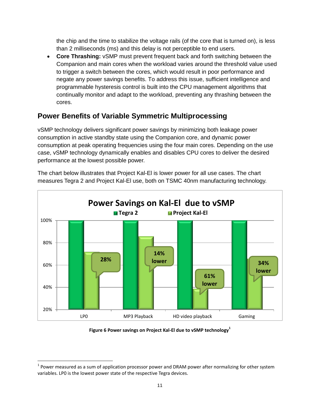the chip and the time to stabilize the voltage rails (of the core that is turned on), is less than 2 milliseconds (ms) and this delay is not perceptible to end users.

 **Core Thrashing:** vSMP must prevent frequent back and forth switching between the Companion and main cores when the workload varies around the threshold value used to trigger a switch between the cores, which would result in poor performance and negate any power savings benefits. To address this issue, sufficient intelligence and programmable hysteresis control is built into the CPU management algorithms that continually monitor and adapt to the workload, preventing any thrashing between the cores.

# <span id="page-10-0"></span>**Power Benefits of Variable Symmetric Multiprocessing**

vSMP technology delivers significant power savings by minimizing both leakage power consumption in active standby state using the Companion core, and dynamic power consumption at peak operating frequencies using the four main cores. Depending on the use case, vSMP technology dynamically enables and disables CPU cores to deliver the desired performance at the lowest possible power.

The chart below illustrates that Project Kal-El is lower power for all use cases. The chart measures Tegra 2 and Project Kal-El use, both on TSMC 40nm manufacturing technology.



**Figure 6 Power savings on Project Kal-El due to vSMP technology<sup>1</sup>**

l  $1$  Power measured as a sum of application processor power and DRAM power after normalizing for other system variables. LP0 is the lowest power state of the respective Tegra devices.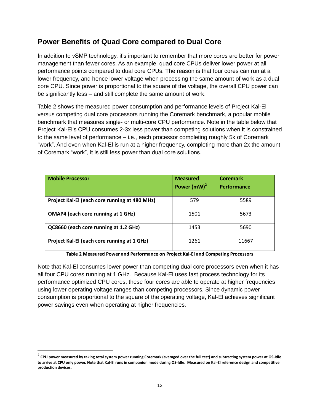## <span id="page-11-0"></span>**Power Benefits of Quad Core compared to Dual Core**

In addition to vSMP technology, it's important to remember that more cores are better for power management than fewer cores. As an example, quad core CPUs deliver lower power at all performance points compared to dual core CPUs. The reason is that four cores can run at a lower frequency, and hence lower voltage when processing the same amount of work as a dual core CPU. Since power is proportional to the square of the voltage, the overall CPU power can be significantly less – and still complete the same amount of work.

Table 2 shows the measured power consumption and performance levels of Project Kal-El versus competing dual core processors running the Coremark benchmark, a popular mobile benchmark that measures single- or multi-core CPU performance. Note in the table below that Project Kal-El's CPU consumes 2-3x less power than competing solutions when it is constrained to the same level of performance – i.e., each processor completing roughly 5k of Coremark "work". And even when Kal-El is run at a higher frequency, completing more than 2x the amount of Coremark "work", it is still less power than dual core solutions.

| <b>Mobile Processor</b>                       | <b>Measured</b><br>Power $(mW)^2$ | <b>Coremark</b><br><b>Performance</b> |
|-----------------------------------------------|-----------------------------------|---------------------------------------|
| Project Kal-El (each core running at 480 MHz) | 579                               | 5589                                  |
| <b>OMAP4</b> (each core running at 1 GHz)     | 1501                              | 5673                                  |
| QC8660 (each core running at 1.2 GHz)         | 1453                              | 5690                                  |
| Project Kal-El (each core running at 1 GHz)   | 1261                              | 11667                                 |

**Table 2 Measured Power and Performance on Project Kal-El and Competing Processors**

Note that Kal-El consumes lower power than competing dual core processors even when it has all four CPU cores running at 1 GHz. Because Kal-El uses fast process technology for its performance optimized CPU cores, these four cores are able to operate at higher frequencies using lower operating voltage ranges than competing processors. Since dynamic power consumption is proportional to the square of the operating voltage, Kal-El achieves significant power savings even when operating at higher frequencies.

 $\overline{a}$ 

<sup>2</sup> **CPU power measured by taking total system power running Coremark (averaged over the full test) and subtracting system power at OS-Idle to arrive at CPU only power. Note that Kal-El runs in companion mode during OS-Idle. Measured on Kal-El reference design and competitive production devices.**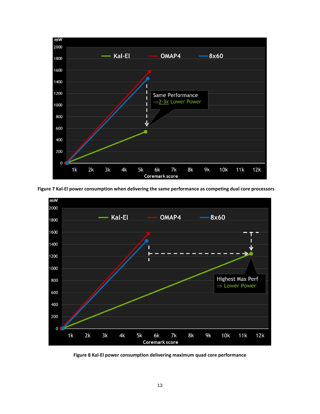





**Figure 8 Kal-El power consumption delivering maximum quad core performance**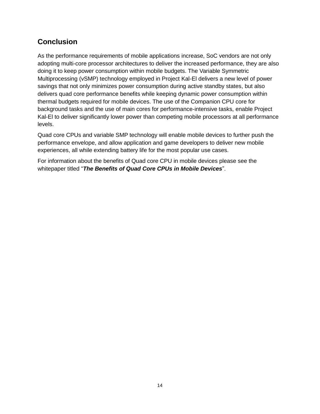## <span id="page-13-0"></span>**Conclusion**

As the performance requirements of mobile applications increase, SoC vendors are not only adopting multi-core processor architectures to deliver the increased performance, they are also doing it to keep power consumption within mobile budgets. The Variable Symmetric Multiprocessing (vSMP) technology employed in Project Kal-El delivers a new level of power savings that not only minimizes power consumption during active standby states, but also delivers quad core performance benefits while keeping dynamic power consumption within thermal budgets required for mobile devices. The use of the Companion CPU core for background tasks and the use of main cores for performance-intensive tasks, enable Project Kal-El to deliver significantly lower power than competing mobile processors at all performance levels.

Quad core CPUs and variable SMP technology will enable mobile devices to further push the performance envelope, and allow application and game developers to deliver new mobile experiences, all while extending battery life for the most popular use cases.

For information about the benefits of Quad core CPU in mobile devices please see the whitepaper titled "*The Benefits of Quad Core CPUs in Mobile Devices*".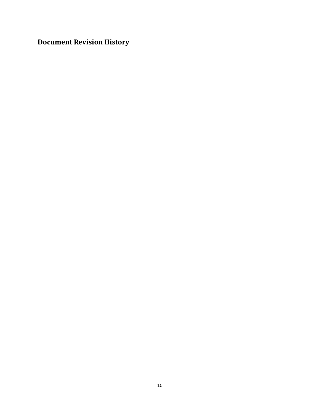<span id="page-14-0"></span>**Document Revision History**